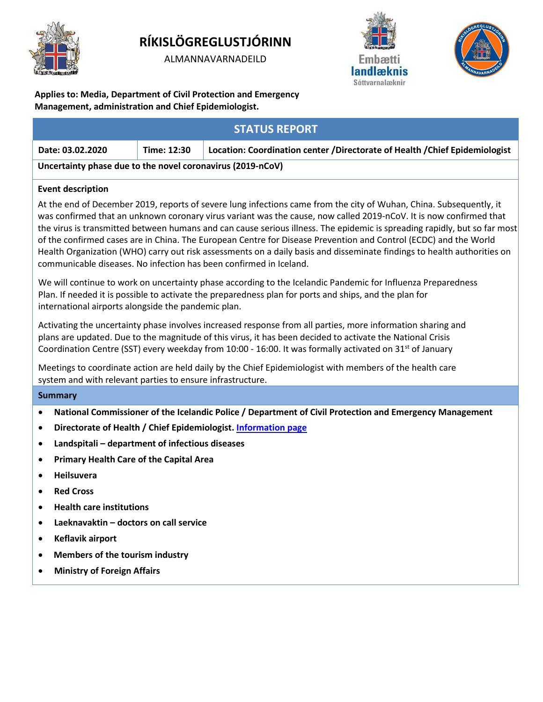

# **RÍKISLÖGREGLUSTJÓRINN**

ALMANNAVARNADEILD





**Applies to: Media, Department of Civil Protection and Emergency Management, administration and Chief Epidemiologist.**

| <b>STATUS REPORT</b>                                                                                                                                                                                                                                                                                                                                                                                                                                                                                                                                                                                                                                                                        |             |                                                                            |
|---------------------------------------------------------------------------------------------------------------------------------------------------------------------------------------------------------------------------------------------------------------------------------------------------------------------------------------------------------------------------------------------------------------------------------------------------------------------------------------------------------------------------------------------------------------------------------------------------------------------------------------------------------------------------------------------|-------------|----------------------------------------------------------------------------|
| Date: 03.02.2020                                                                                                                                                                                                                                                                                                                                                                                                                                                                                                                                                                                                                                                                            | Time: 12:30 | Location: Coordination center /Directorate of Health /Chief Epidemiologist |
| Uncertainty phase due to the novel coronavirus (2019-nCoV)                                                                                                                                                                                                                                                                                                                                                                                                                                                                                                                                                                                                                                  |             |                                                                            |
| <b>Event description</b>                                                                                                                                                                                                                                                                                                                                                                                                                                                                                                                                                                                                                                                                    |             |                                                                            |
| At the end of December 2019, reports of severe lung infections came from the city of Wuhan, China. Subsequently, it<br>was confirmed that an unknown coronary virus variant was the cause, now called 2019-nCoV. It is now confirmed that<br>the virus is transmitted between humans and can cause serious illness. The epidemic is spreading rapidly, but so far most<br>of the confirmed cases are in China. The European Centre for Disease Prevention and Control (ECDC) and the World<br>Health Organization (WHO) carry out risk assessments on a daily basis and disseminate findings to health authorities on<br>communicable diseases. No infection has been confirmed in Iceland. |             |                                                                            |
| We will continue to work on uncertainty phase according to the Icelandic Pandemic for Influenza Preparedness<br>Plan. If needed it is possible to activate the preparedness plan for ports and ships, and the plan for<br>international airports alongside the pandemic plan.                                                                                                                                                                                                                                                                                                                                                                                                               |             |                                                                            |
| Activating the uncertainty phase involves increased response from all parties, more information sharing and<br>plans are updated. Due to the magnitude of this virus, it has been decided to activate the National Crisis<br>Coordination Centre (SST) every weekday from 10:00 - 16:00. It was formally activated on 31 <sup>st</sup> of January                                                                                                                                                                                                                                                                                                                                           |             |                                                                            |
| Meetings to coordinate action are held daily by the Chief Epidemiologist with members of the health care<br>system and with relevant parties to ensure infrastructure.                                                                                                                                                                                                                                                                                                                                                                                                                                                                                                                      |             |                                                                            |
| <b>Summary</b>                                                                                                                                                                                                                                                                                                                                                                                                                                                                                                                                                                                                                                                                              |             |                                                                            |
| National Commissioner of the Icelandic Police / Department of Civil Protection and Emergency Management<br>$\bullet$                                                                                                                                                                                                                                                                                                                                                                                                                                                                                                                                                                        |             |                                                                            |
| Directorate of Health / Chief Epidemiologist. Information page<br>$\bullet$                                                                                                                                                                                                                                                                                                                                                                                                                                                                                                                                                                                                                 |             |                                                                            |
| Landspitali - department of infectious diseases<br>$\bullet$                                                                                                                                                                                                                                                                                                                                                                                                                                                                                                                                                                                                                                |             |                                                                            |
| <b>Primary Health Care of the Capital Area</b><br>$\bullet$                                                                                                                                                                                                                                                                                                                                                                                                                                                                                                                                                                                                                                 |             |                                                                            |
| Heilsuvera<br>$\bullet$                                                                                                                                                                                                                                                                                                                                                                                                                                                                                                                                                                                                                                                                     |             |                                                                            |
| <b>Red Cross</b><br>$\bullet$                                                                                                                                                                                                                                                                                                                                                                                                                                                                                                                                                                                                                                                               |             |                                                                            |
| <b>Health care institutions</b><br>$\bullet$                                                                                                                                                                                                                                                                                                                                                                                                                                                                                                                                                                                                                                                |             |                                                                            |
| Laeknavaktin - doctors on call service<br>$\bullet$                                                                                                                                                                                                                                                                                                                                                                                                                                                                                                                                                                                                                                         |             |                                                                            |
| Keflavik airport<br>$\bullet$                                                                                                                                                                                                                                                                                                                                                                                                                                                                                                                                                                                                                                                               |             |                                                                            |
| Members of the tourism industry<br>$\bullet$                                                                                                                                                                                                                                                                                                                                                                                                                                                                                                                                                                                                                                                |             |                                                                            |
| <b>Ministry of Foreign Affairs</b><br>$\bullet$                                                                                                                                                                                                                                                                                                                                                                                                                                                                                                                                                                                                                                             |             |                                                                            |
|                                                                                                                                                                                                                                                                                                                                                                                                                                                                                                                                                                                                                                                                                             |             |                                                                            |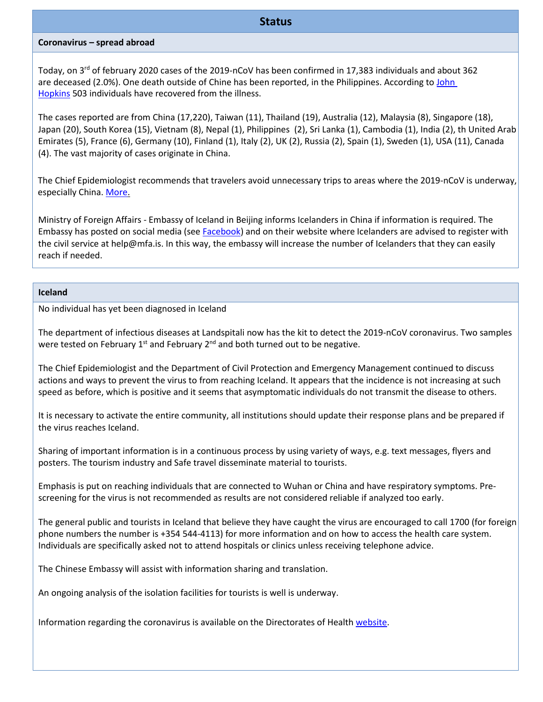#### **Status**

#### **Coronavirus – spread abroad**

Today, on 3rd of february 2020 cases of the 2019-nCoV has been confirmed in 17,383 individuals and about 362 are deceased (2.0%). One death outside of Chine has been reported, in the Philippines. According to John [Hopkins](https://gisanddata.maps.arcgis.com/apps/opsdashboard/index.html#/bda7594740fd40299423467b48e9ecf6) 503 individuals have recovered from the illness.

The cases reported are from China (17,220), Taiwan (11), Thailand (19), Australia (12), Malaysia (8), Singapore (18), Japan (20), South Korea (15), Vietnam (8), Nepal (1), Philippines (2), Sri Lanka (1), Cambodia (1), India (2), th United Arab Emirates (5), France (6), Germany (10), Finland (1), Italy (2), UK (2), Russia (2), Spain (1), Sweden (1), USA (11), Canada (4). The vast majority of cases originate in China.

The Chief Epidemiologist recommends that travelers avoid unnecessary trips to areas where the 2019-nCoV is underway, especially China. [More.](https://www.landlaeknir.is/um-embaettid/frettir/frett/item38860/Radleggingar-til-ferdamanna---Koronaveira-2019-nCoV)

Ministry of Foreign Affairs - Embassy of Iceland in Beijing informs Icelanders in China if information is required. The Embassy has posted on social media (se[e Facebook\)](https://www.facebook.com/utanrikisthjonustan/) and on their website where Icelanders are advised to register with the civil service at help@mfa.is. In this way, the embassy will increase the number of Icelanders that they can easily reach if needed.

#### **Iceland**

No individual has yet been diagnosed in Iceland

The department of infectious diseases at Landspitali now has the kit to detect the 2019-nCoV coronavirus. Two samples were tested on February  $1^{st}$  and February  $2^{nd}$  and both turned out to be negative.

The Chief Epidemiologist and the Department of Civil Protection and Emergency Management continued to discuss actions and ways to prevent the virus to from reaching Iceland. It appears that the incidence is not increasing at such speed as before, which is positive and it seems that asymptomatic individuals do not transmit the disease to others.

It is necessary to activate the entire community, all institutions should update their response plans and be prepared if the virus reaches Iceland.

Sharing of important information is in a continuous process by using variety of ways, e.g. text messages, flyers and posters. The tourism industry and Safe travel disseminate material to tourists.

Emphasis is put on reaching individuals that are connected to Wuhan or China and have respiratory symptoms. Prescreening for the virus is not recommended as results are not considered reliable if analyzed too early.

The general public and tourists in Iceland that believe they have caught the virus are encouraged to call 1700 (for foreign phone numbers the number is +354 544-4113) for more information and on how to access the health care system. Individuals are specifically asked not to attend hospitals or clinics unless receiving telephone advice.

The Chinese Embassy will assist with information sharing and translation.

An ongoing analysis of the isolation facilities for tourists is well is underway.

Information regarding the coronavirus is available on the Directorates of Health [website.](https://www.landlaeknir.is/koronaveira/english/)